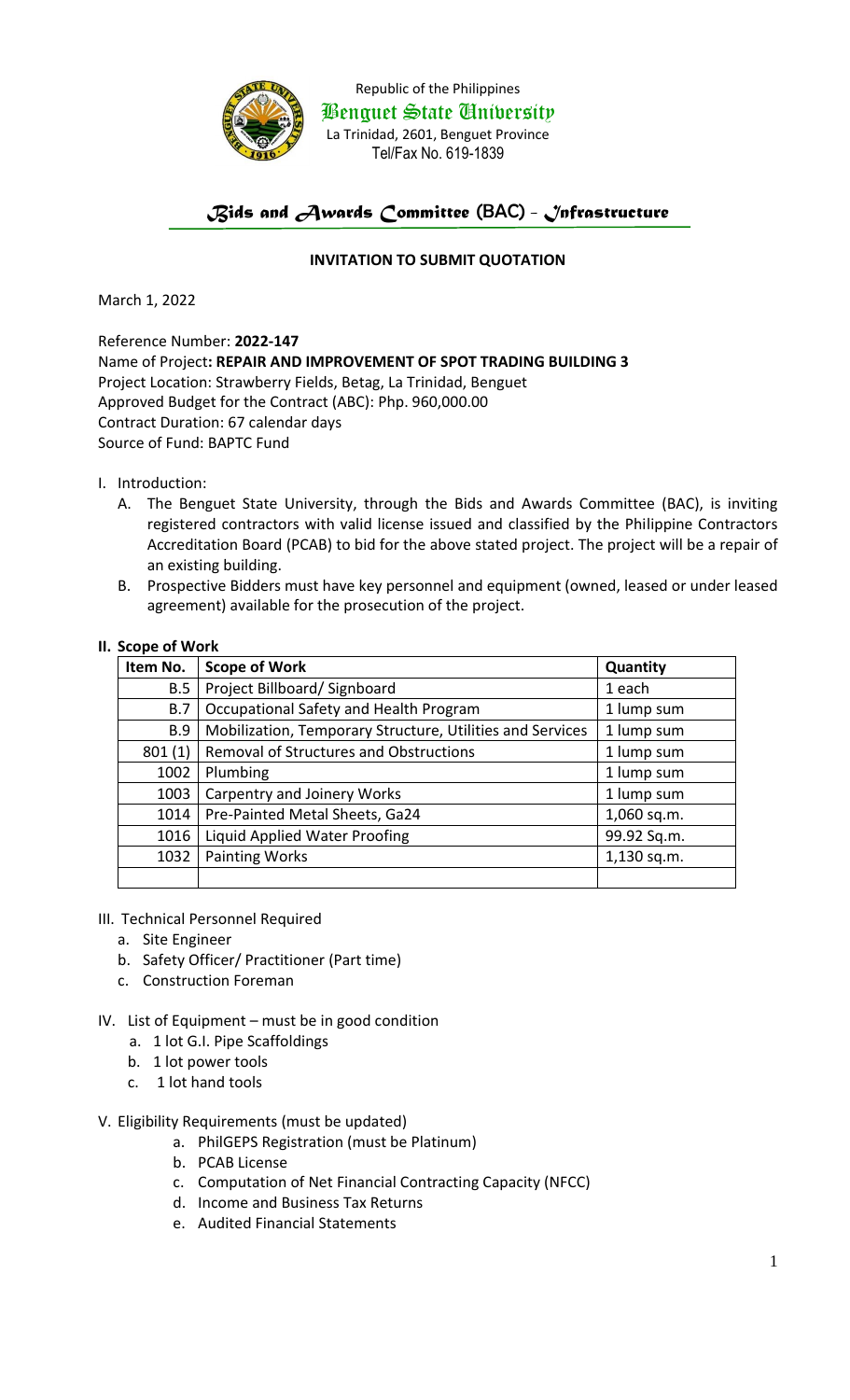

Republic of the Philippines Benguet State University La Trinidad, 2601, Benguet Province Tel/Fax No. 619-1839

## *Bids and Awards Committee* (BAC) *- Infrastructure*

## **INVITATION TO SUBMIT QUOTATION**

March 1, 2022

Reference Number: **2022-147** Name of Project**: REPAIR AND IMPROVEMENT OF SPOT TRADING BUILDING 3** Project Location: Strawberry Fields, Betag, La Trinidad, Benguet Approved Budget for the Contract (ABC): Php. 960,000.00 Contract Duration: 67 calendar days Source of Fund: BAPTC Fund

- I. Introduction:
	- A. The Benguet State University, through the Bids and Awards Committee (BAC), is inviting registered contractors with valid license issued and classified by the Philippine Contractors Accreditation Board (PCAB) to bid for the above stated project. The project will be a repair of an existing building.
	- B. Prospective Bidders must have key personnel and equipment (owned, leased or under leased agreement) available for the prosecution of the project.

## **II. Scope of Work**

| Item No.   | <b>Scope of Work</b>                                      | Quantity    |
|------------|-----------------------------------------------------------|-------------|
| B.5        | Project Billboard/Signboard                               | 1 each      |
| B.7        | Occupational Safety and Health Program                    | 1 lump sum  |
| <b>B.9</b> | Mobilization, Temporary Structure, Utilities and Services | 1 lump sum  |
| 801(1)     | <b>Removal of Structures and Obstructions</b>             | 1 lump sum  |
| 1002       | Plumbing                                                  | 1 lump sum  |
| 1003       | Carpentry and Joinery Works                               | 1 lump sum  |
| 1014       | Pre-Painted Metal Sheets, Ga24                            | 1,060 sq.m. |
| 1016       | Liquid Applied Water Proofing                             | 99.92 Sq.m. |
| 1032       | <b>Painting Works</b>                                     | 1,130 sq.m. |
|            |                                                           |             |

- III. Technical Personnel Required
	- a. Site Engineer
	- b. Safety Officer/ Practitioner (Part time)
	- c. Construction Foreman
- IV. List of Equipment must be in good condition
	- a. 1 lot G.I. Pipe Scaffoldings
	- b. 1 lot power tools
	- c. 1 lot hand tools
- V. Eligibility Requirements (must be updated)
	- a. PhilGEPS Registration (must be Platinum)
	- b. PCAB License
	- c. Computation of Net Financial Contracting Capacity (NFCC)
	- d. Income and Business Tax Returns
	- e. Audited Financial Statements